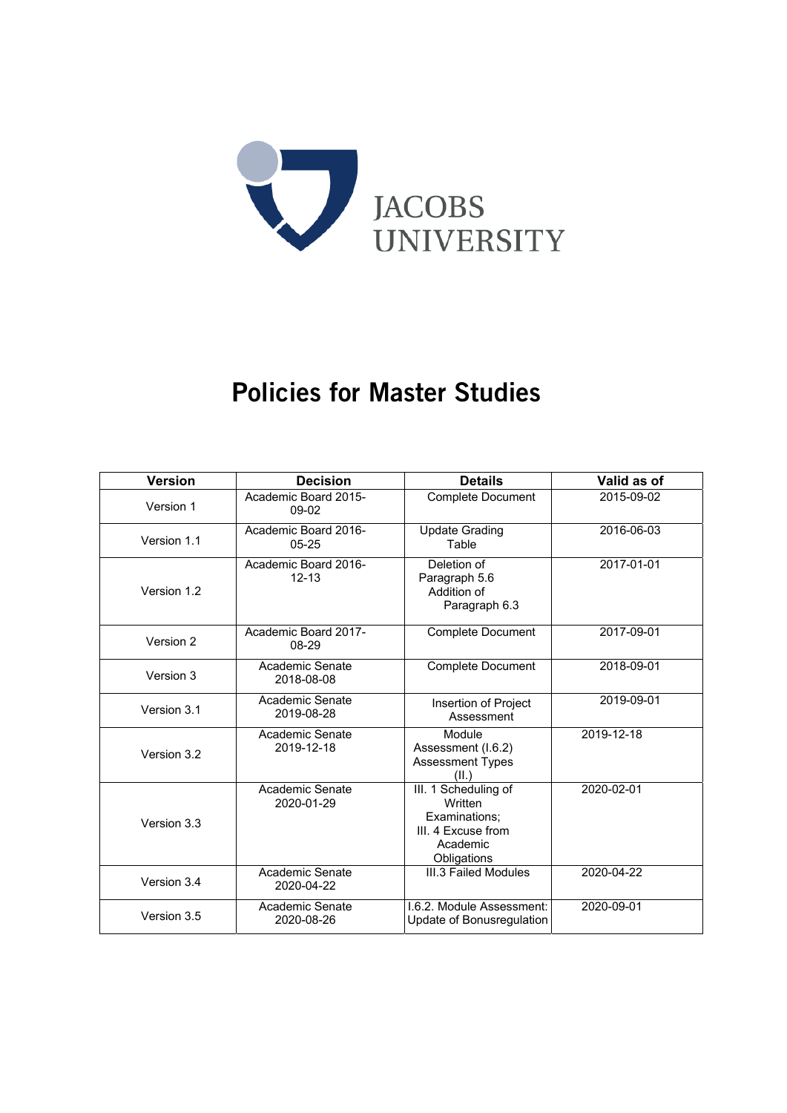

# Policies for Master Studies

| <b>Version</b> | <b>Decision</b>                   | <b>Details</b>                                                                                    | Valid as of |
|----------------|-----------------------------------|---------------------------------------------------------------------------------------------------|-------------|
| Version 1      | Academic Board 2015-<br>$09-02$   | <b>Complete Document</b>                                                                          | 2015-09-02  |
| Version 1.1    | Academic Board 2016-<br>$05 - 25$ | <b>Update Grading</b><br>Table                                                                    | 2016-06-03  |
| Version 1.2    | Academic Board 2016-<br>$12 - 13$ | Deletion of<br>Paragraph 5.6<br>Addition of<br>Paragraph 6.3                                      | 2017-01-01  |
| Version 2      | Academic Board 2017-<br>08-29     | <b>Complete Document</b>                                                                          | 2017-09-01  |
| Version 3      | Academic Senate<br>2018-08-08     | <b>Complete Document</b>                                                                          | 2018-09-01  |
| Version 3.1    | Academic Senate<br>2019-08-28     | Insertion of Project<br>Assessment                                                                | 2019-09-01  |
| Version 3.2    | Academic Senate<br>2019-12-18     | Module<br>Assessment (I.6.2)<br><b>Assessment Types</b><br>(II.)                                  | 2019-12-18  |
| Version 3.3    | Academic Senate<br>2020-01-29     | III. 1 Scheduling of<br>Written<br>Examinations;<br>III. 4 Excuse from<br>Academic<br>Obligations | 2020-02-01  |
| Version 3.4    | Academic Senate<br>2020-04-22     | III.3 Failed Modules                                                                              | 2020-04-22  |
| Version 3.5    | Academic Senate<br>2020-08-26     | 1.6.2. Module Assessment:<br>Update of Bonusregulation                                            | 2020-09-01  |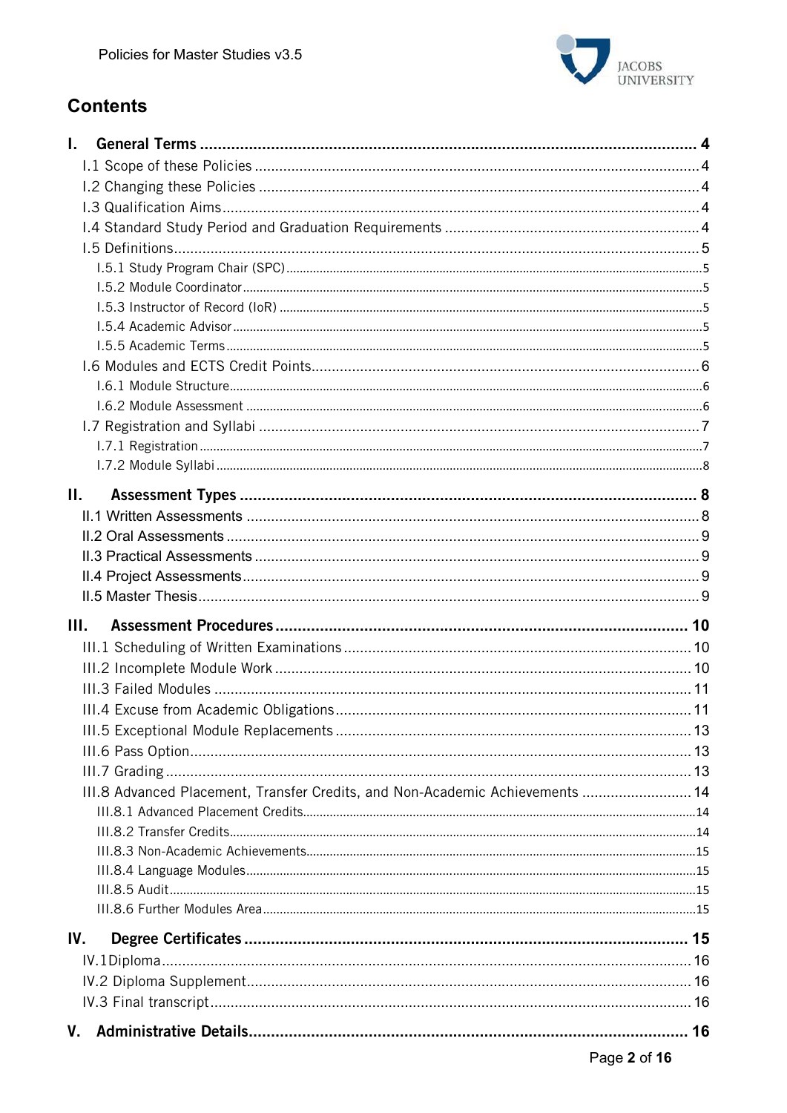

# **Contents**

| L.   |                                                                               |  |
|------|-------------------------------------------------------------------------------|--|
|      |                                                                               |  |
|      |                                                                               |  |
|      |                                                                               |  |
|      |                                                                               |  |
|      |                                                                               |  |
|      |                                                                               |  |
|      |                                                                               |  |
|      |                                                                               |  |
|      |                                                                               |  |
|      |                                                                               |  |
|      |                                                                               |  |
|      |                                                                               |  |
|      |                                                                               |  |
|      |                                                                               |  |
|      |                                                                               |  |
|      |                                                                               |  |
| Н.   |                                                                               |  |
|      |                                                                               |  |
|      |                                                                               |  |
|      |                                                                               |  |
|      |                                                                               |  |
|      |                                                                               |  |
| III. |                                                                               |  |
|      |                                                                               |  |
|      |                                                                               |  |
|      |                                                                               |  |
|      |                                                                               |  |
|      |                                                                               |  |
|      |                                                                               |  |
|      |                                                                               |  |
|      | III.8 Advanced Placement, Transfer Credits, and Non-Academic Achievements  14 |  |
|      |                                                                               |  |
|      |                                                                               |  |
|      |                                                                               |  |
|      |                                                                               |  |
|      |                                                                               |  |
|      |                                                                               |  |
| IV.  |                                                                               |  |
|      |                                                                               |  |
|      |                                                                               |  |
|      |                                                                               |  |
|      |                                                                               |  |
|      |                                                                               |  |
|      |                                                                               |  |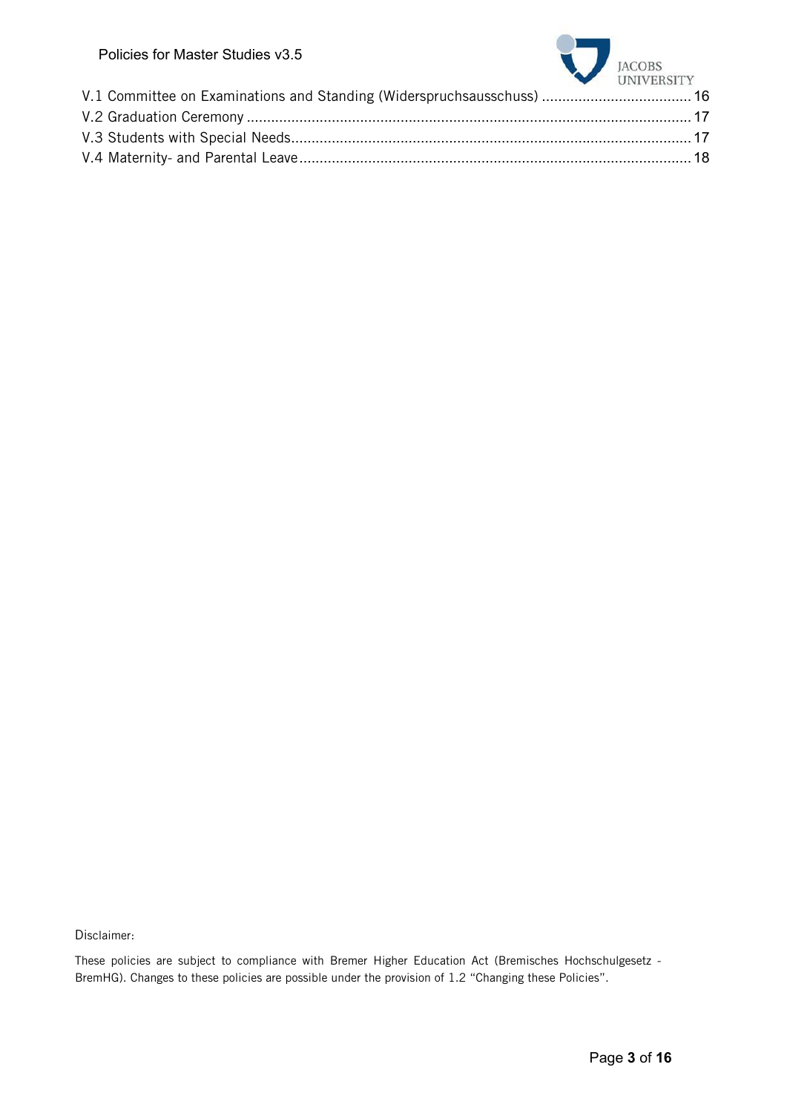| Policies for Master Studies V3.5 | JACOBS UNIVERSITY |
|----------------------------------|-------------------|
|                                  |                   |
|                                  |                   |
|                                  |                   |
|                                  |                   |
|                                  |                   |

Disclaimer:

These policies are subject to compliance with Bremer Higher Education Act (Bremisches Hochschulgesetz - BremHG). Changes to these policies are possible under the provision of 1.2 "Changing these Policies".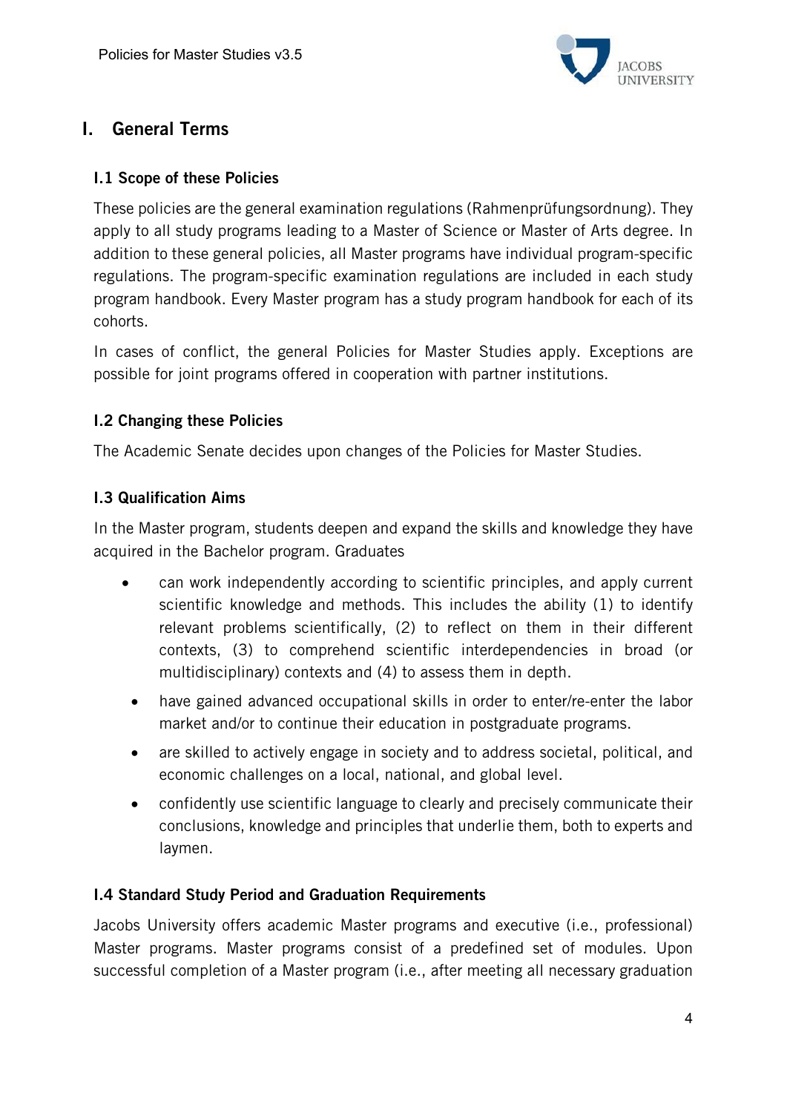

# I. General Terms

#### I.1 Scope of these Policies

These policies are the general examination regulations (Rahmenprüfungsordnung). They apply to all study programs leading to a Master of Science or Master of Arts degree. In addition to these general policies, all Master programs have individual program-specific regulations. The program-specific examination regulations are included in each study program handbook. Every Master program has a study program handbook for each of its cohorts.

In cases of conflict, the general Policies for Master Studies apply. Exceptions are possible for joint programs offered in cooperation with partner institutions.

#### I.2 Changing these Policies

The Academic Senate decides upon changes of the Policies for Master Studies.

#### I.3 Qualification Aims

In the Master program, students deepen and expand the skills and knowledge they have acquired in the Bachelor program. Graduates

- can work independently according to scientific principles, and apply current scientific knowledge and methods. This includes the ability (1) to identify relevant problems scientifically, (2) to reflect on them in their different contexts, (3) to comprehend scientific interdependencies in broad (or multidisciplinary) contexts and (4) to assess them in depth.
- have gained advanced occupational skills in order to enter/re-enter the labor market and/or to continue their education in postgraduate programs.
- are skilled to actively engage in society and to address societal, political, and economic challenges on a local, national, and global level.
- confidently use scientific language to clearly and precisely communicate their conclusions, knowledge and principles that underlie them, both to experts and laymen.

## I.4 Standard Study Period and Graduation Requirements

Jacobs University offers academic Master programs and executive (i.e., professional) Master programs. Master programs consist of a predefined set of modules. Upon successful completion of a Master program (i.e., after meeting all necessary graduation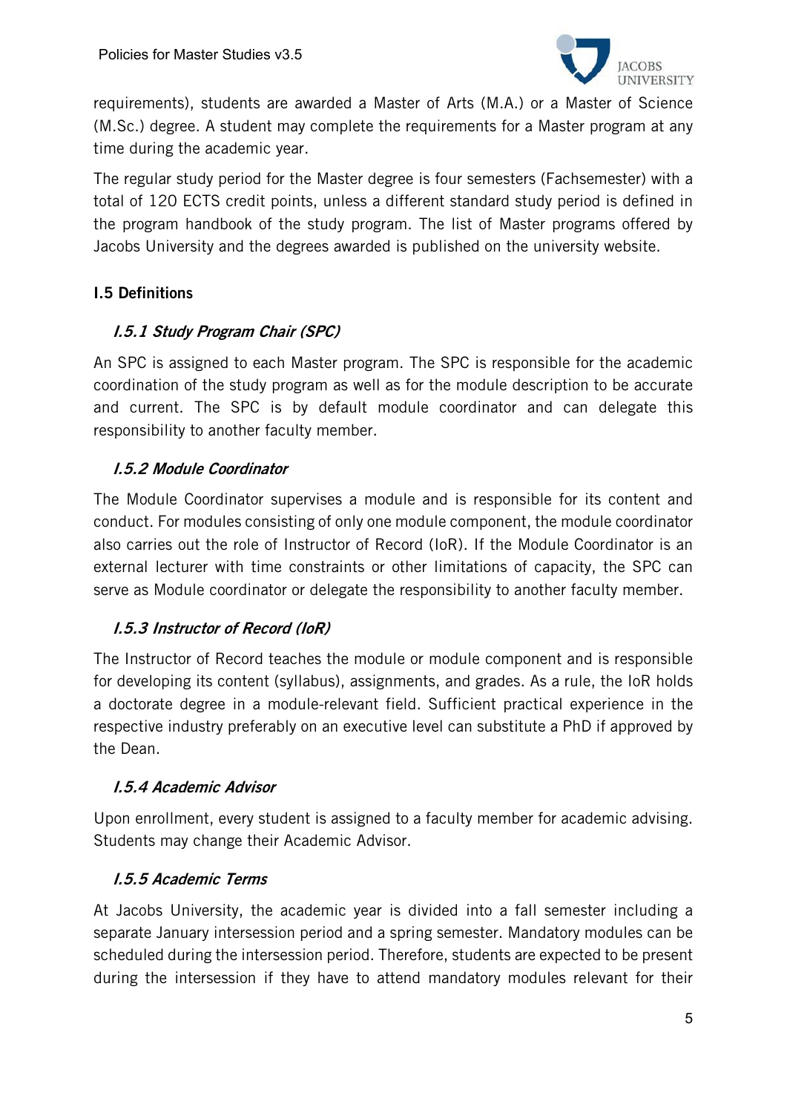

requirements), students are awarded a Master of Arts (M.A.) or a Master of Science (M.Sc.) degree. A student may complete the requirements for a Master program at any time during the academic year.

The regular study period for the Master degree is four semesters (Fachsemester) with a total of 120 ECTS credit points, unless a different standard study period is defined in the program handbook of the study program. The list of Master programs offered by Jacobs University and the degrees awarded is published on the university website.

## I.5 Definitions

## I.5.1 Study Program Chair (SPC)

An SPC is assigned to each Master program. The SPC is responsible for the academic coordination of the study program as well as for the module description to be accurate and current. The SPC is by default module coordinator and can delegate this responsibility to another faculty member.

#### I.5.2 Module Coordinator

The Module Coordinator supervises a module and is responsible for its content and conduct. For modules consisting of only one module component, the module coordinator also carries out the role of Instructor of Record (IoR). If the Module Coordinator is an external lecturer with time constraints or other limitations of capacity, the SPC can serve as Module coordinator or delegate the responsibility to another faculty member.

## I.5.3 Instructor of Record (IoR)

The Instructor of Record teaches the module or module component and is responsible for developing its content (syllabus), assignments, and grades. As a rule, the IoR holds a doctorate degree in a module-relevant field. Sufficient practical experience in the respective industry preferably on an executive level can substitute a PhD if approved by the Dean.

#### I.5.4 Academic Advisor

Upon enrollment, every student is assigned to a faculty member for academic advising. Students may change their Academic Advisor.

#### I.5.5 Academic Terms

At Jacobs University, the academic year is divided into a fall semester including a separate January intersession period and a spring semester. Mandatory modules can be scheduled during the intersession period. Therefore, students are expected to be present during the intersession if they have to attend mandatory modules relevant for their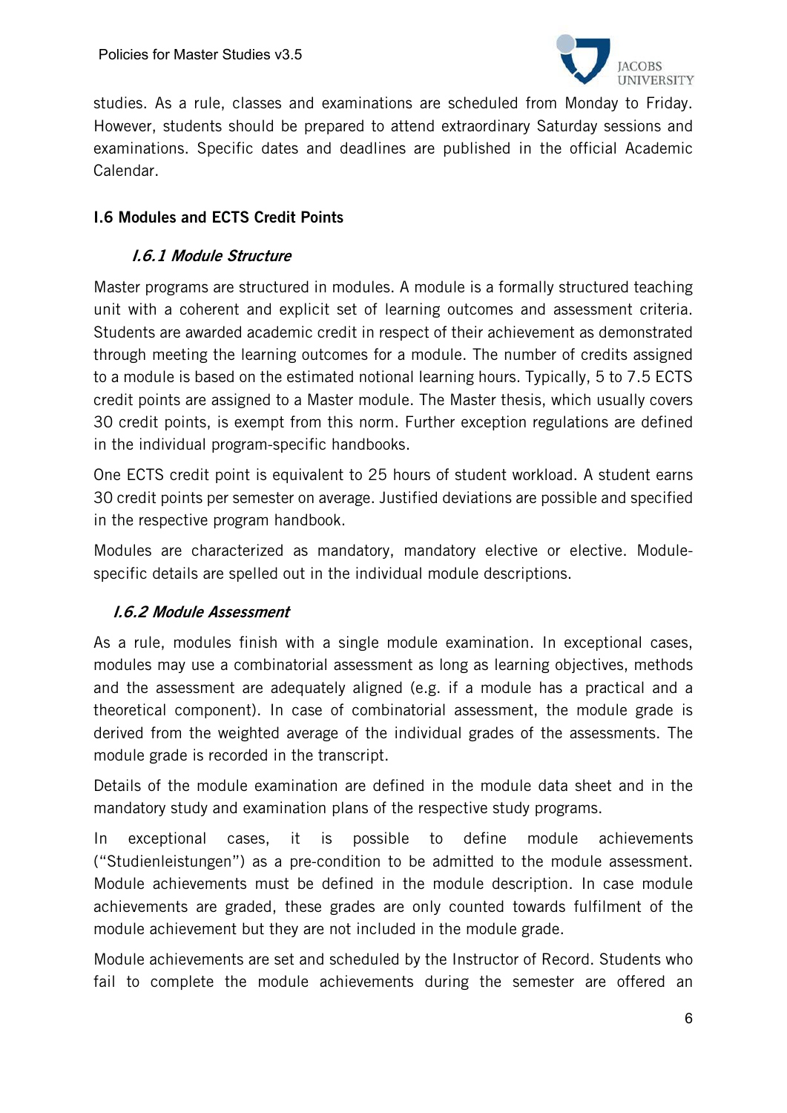

studies. As a rule, classes and examinations are scheduled from Monday to Friday. However, students should be prepared to attend extraordinary Saturday sessions and examinations. Specific dates and deadlines are published in the official Academic Calendar.

## I.6 Modules and ECTS Credit Points

## I.6.1 Module Structure

Master programs are structured in modules. A module is a formally structured teaching unit with a coherent and explicit set of learning outcomes and assessment criteria. Students are awarded academic credit in respect of their achievement as demonstrated through meeting the learning outcomes for a module. The number of credits assigned to a module is based on the estimated notional learning hours. Typically, 5 to 7.5 ECTS credit points are assigned to a Master module. The Master thesis, which usually covers 30 credit points, is exempt from this norm. Further exception regulations are defined in the individual program-specific handbooks.

One ECTS credit point is equivalent to 25 hours of student workload. A student earns 30 credit points per semester on average. Justified deviations are possible and specified in the respective program handbook.

Modules are characterized as mandatory, mandatory elective or elective. Modulespecific details are spelled out in the individual module descriptions.

## I.6.2 Module Assessment

As a rule, modules finish with a single module examination. In exceptional cases, modules may use a combinatorial assessment as long as learning objectives, methods and the assessment are adequately aligned (e.g. if a module has a practical and a theoretical component). In case of combinatorial assessment, the module grade is derived from the weighted average of the individual grades of the assessments. The module grade is recorded in the transcript.

Details of the module examination are defined in the module data sheet and in the mandatory study and examination plans of the respective study programs.

In exceptional cases, it is possible to define module achievements ("Studienleistungen") as a pre-condition to be admitted to the module assessment. Module achievements must be defined in the module description. In case module achievements are graded, these grades are only counted towards fulfilment of the module achievement but they are not included in the module grade.

Module achievements are set and scheduled by the Instructor of Record. Students who fail to complete the module achievements during the semester are offered an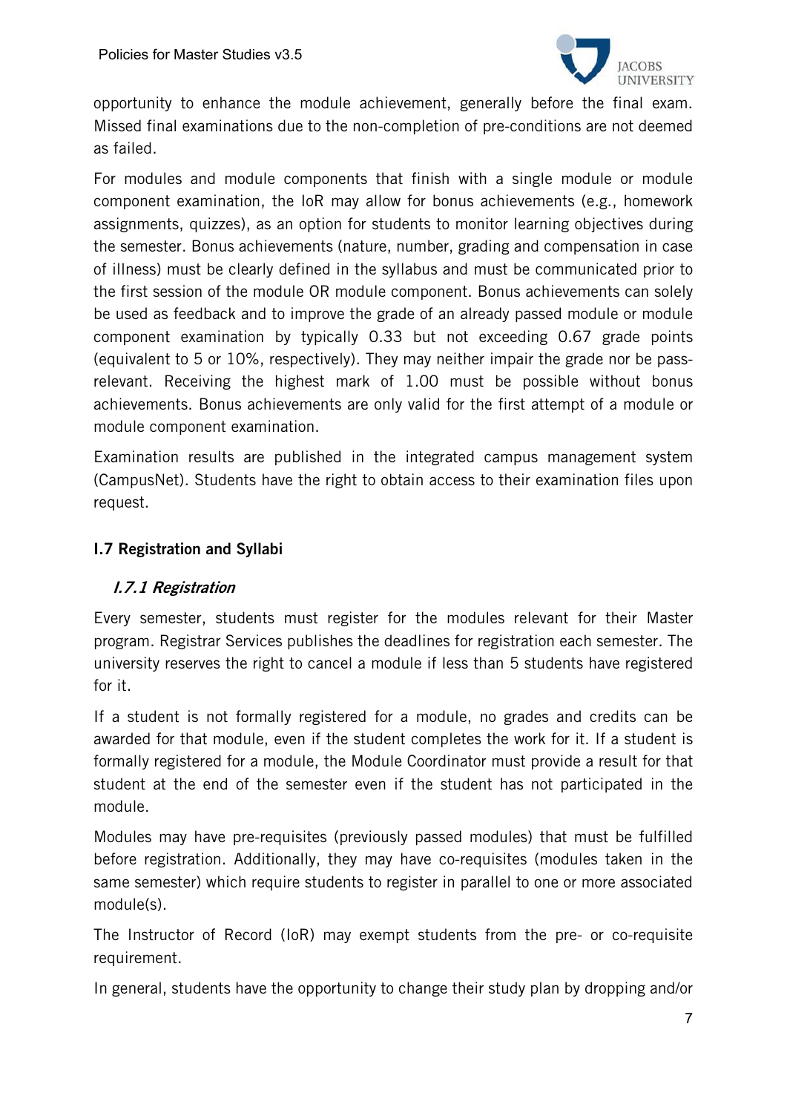

opportunity to enhance the module achievement, generally before the final exam. Missed final examinations due to the non-completion of pre-conditions are not deemed as failed.

For modules and module components that finish with a single module or module component examination, the IoR may allow for bonus achievements (e.g., homework assignments, quizzes), as an option for students to monitor learning objectives during the semester. Bonus achievements (nature, number, grading and compensation in case of illness) must be clearly defined in the syllabus and must be communicated prior to the first session of the module OR module component. Bonus achievements can solely be used as feedback and to improve the grade of an already passed module or module component examination by typically 0.33 but not exceeding 0.67 grade points (equivalent to 5 or 10%, respectively). They may neither impair the grade nor be passrelevant. Receiving the highest mark of 1.00 must be possible without bonus achievements. Bonus achievements are only valid for the first attempt of a module or module component examination.

Examination results are published in the integrated campus management system (CampusNet). Students have the right to obtain access to their examination files upon request.

#### I.7 Registration and Syllabi

## I.7.1 Registration

Every semester, students must register for the modules relevant for their Master program. Registrar Services publishes the deadlines for registration each semester. The university reserves the right to cancel a module if less than 5 students have registered for it.

If a student is not formally registered for a module, no grades and credits can be awarded for that module, even if the student completes the work for it. If a student is formally registered for a module, the Module Coordinator must provide a result for that student at the end of the semester even if the student has not participated in the module.

Modules may have pre-requisites (previously passed modules) that must be fulfilled before registration. Additionally, they may have co-requisites (modules taken in the same semester) which require students to register in parallel to one or more associated module(s).

The Instructor of Record (IoR) may exempt students from the pre- or co-requisite requirement.

In general, students have the opportunity to change their study plan by dropping and/or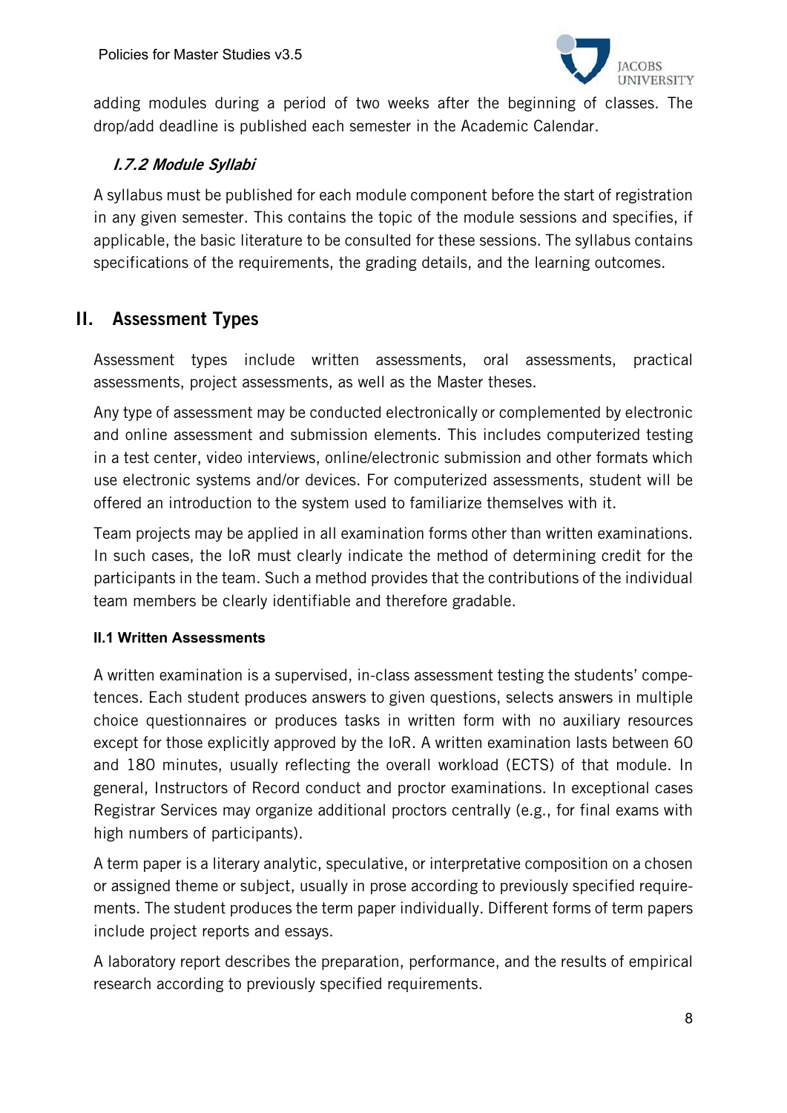

adding modules during a period of two weeks after the beginning of classes. The drop/add deadline is published each semester in the Academic Calendar.

## I.7.2 Module Syllabi

A syllabus must be published for each module component before the start of registration in any given semester. This contains the topic of the module sessions and specifies, if applicable, the basic literature to be consulted for these sessions. The syllabus contains specifications of the requirements, the grading details, and the learning outcomes.

# II. Assessment Types

Assessment types include written assessments, oral assessments, practical assessments, project assessments, as well as the Master theses.

Any type of assessment may be conducted electronically or complemented by electronic and online assessment and submission elements. This includes computerized testing in a test center, video interviews, online/electronic submission and other formats which use electronic systems and/or devices. For computerized assessments, student will be offered an introduction to the system used to familiarize themselves with it.

Team projects may be applied in all examination forms other than written examinations. In such cases, the IoR must clearly indicate the method of determining credit for the participants in the team. Such a method provides that the contributions of the individual team members be clearly identifiable and therefore gradable.

#### **II.1 Written Assessments**

A written examination is a supervised, in-class assessment testing the students' competences. Each student produces answers to given questions, selects answers in multiple choice questionnaires or produces tasks in written form with no auxiliary resources except for those explicitly approved by the IoR. A written examination lasts between 60 and 180 minutes, usually reflecting the overall workload (ECTS) of that module. In general, Instructors of Record conduct and proctor examinations. In exceptional cases Registrar Services may organize additional proctors centrally (e.g., for final exams with high numbers of participants).

A term paper is a literary analytic, speculative, or interpretative composition on a chosen or assigned theme or subject, usually in prose according to previously specified requirements. The student produces the term paper individually. Different forms of term papers include project reports and essays.

A laboratory report describes the preparation, performance, and the results of empirical research according to previously specified requirements.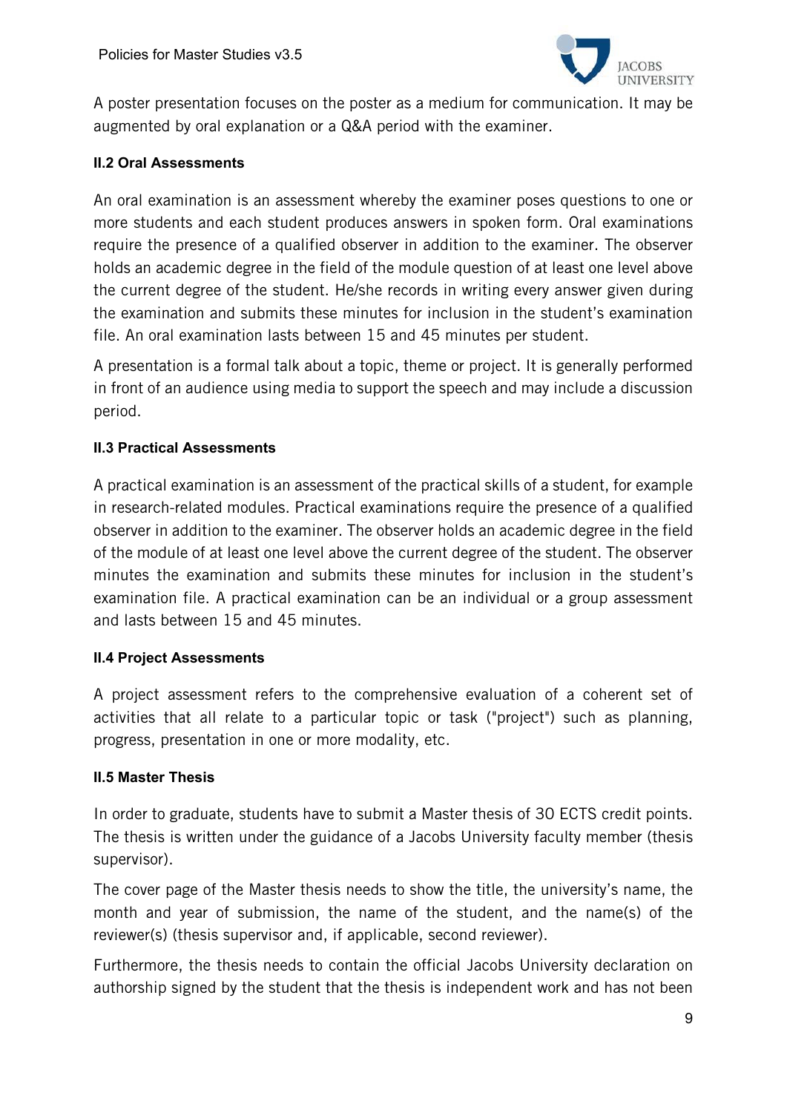

A poster presentation focuses on the poster as a medium for communication. It may be augmented by oral explanation or a Q&A period with the examiner.

#### **II.2 Oral Assessments**

An oral examination is an assessment whereby the examiner poses questions to one or more students and each student produces answers in spoken form. Oral examinations require the presence of a qualified observer in addition to the examiner. The observer holds an academic degree in the field of the module question of at least one level above the current degree of the student. He/she records in writing every answer given during the examination and submits these minutes for inclusion in the student's examination file. An oral examination lasts between 15 and 45 minutes per student.

A presentation is a formal talk about a topic, theme or project. It is generally performed in front of an audience using media to support the speech and may include a discussion period.

#### **II.3 Practical Assessments**

A practical examination is an assessment of the practical skills of a student, for example in research-related modules. Practical examinations require the presence of a qualified observer in addition to the examiner. The observer holds an academic degree in the field of the module of at least one level above the current degree of the student. The observer minutes the examination and submits these minutes for inclusion in the student's examination file. A practical examination can be an individual or a group assessment and lasts between 15 and 45 minutes.

#### **II.4 Project Assessments**

A project assessment refers to the comprehensive evaluation of a coherent set of activities that all relate to a particular topic or task ("project") such as planning, progress, presentation in one or more modality, etc.

#### **II.5 Master Thesis**

In order to graduate, students have to submit a Master thesis of 30 ECTS credit points. The thesis is written under the guidance of a Jacobs University faculty member (thesis supervisor).

The cover page of the Master thesis needs to show the title, the university's name, the month and year of submission, the name of the student, and the name(s) of the reviewer(s) (thesis supervisor and, if applicable, second reviewer).

Furthermore, the thesis needs to contain the official Jacobs University declaration on authorship signed by the student that the thesis is independent work and has not been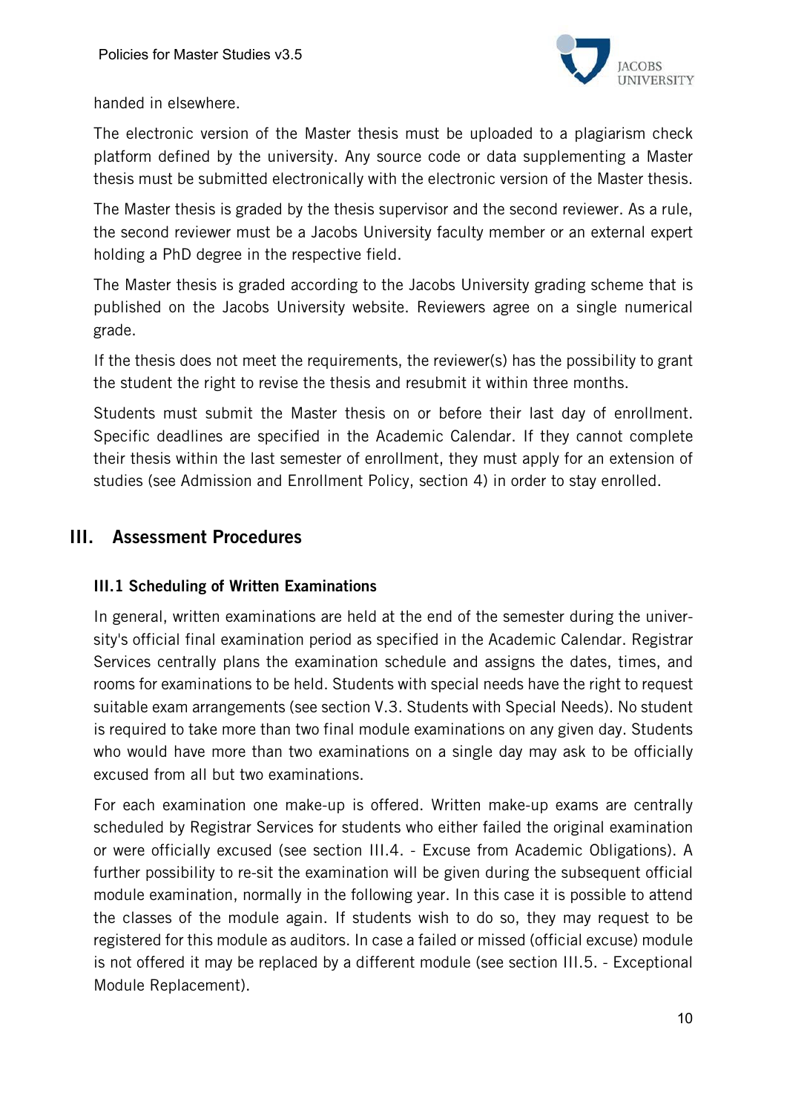

handed in elsewhere.

The electronic version of the Master thesis must be uploaded to a plagiarism check platform defined by the university. Any source code or data supplementing a Master thesis must be submitted electronically with the electronic version of the Master thesis.

The Master thesis is graded by the thesis supervisor and the second reviewer. As a rule, the second reviewer must be a Jacobs University faculty member or an external expert holding a PhD degree in the respective field.

The Master thesis is graded according to the Jacobs University grading scheme that is published on the Jacobs University website. Reviewers agree on a single numerical grade.

If the thesis does not meet the requirements, the reviewer(s) has the possibility to grant the student the right to revise the thesis and resubmit it within three months.

Students must submit the Master thesis on or before their last day of enrollment. Specific deadlines are specified in the Academic Calendar. If they cannot complete their thesis within the last semester of enrollment, they must apply for an extension of studies (see Admission and Enrollment Policy, section 4) in order to stay enrolled.

# III. Assessment Procedures

## III.1 Scheduling of Written Examinations

In general, written examinations are held at the end of the semester during the university's official final examination period as specified in the Academic Calendar. Registrar Services centrally plans the examination schedule and assigns the dates, times, and rooms for examinations to be held. Students with special needs have the right to request suitable exam arrangements (see section V.3. Students with Special Needs). No student is required to take more than two final module examinations on any given day. Students who would have more than two examinations on a single day may ask to be officially excused from all but two examinations.

For each examination one make-up is offered. Written make-up exams are centrally scheduled by Registrar Services for students who either failed the original examination or were officially excused (see section III.4. - Excuse from Academic Obligations). A further possibility to re-sit the examination will be given during the subsequent official module examination, normally in the following year. In this case it is possible to attend the classes of the module again. If students wish to do so, they may request to be registered for this module as auditors. In case a failed or missed (official excuse) module is not offered it may be replaced by a different module (see section III.5. - Exceptional Module Replacement).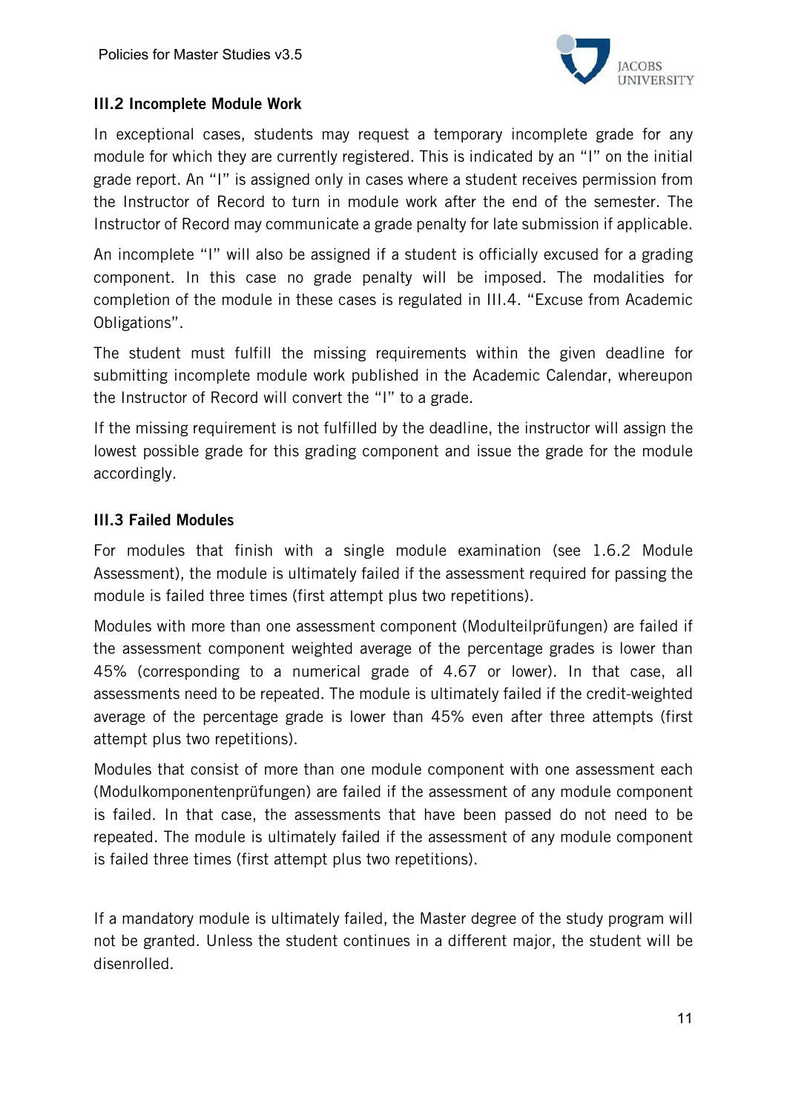

### III.2 Incomplete Module Work

In exceptional cases, students may request a temporary incomplete grade for any module for which they are currently registered. This is indicated by an "I" on the initial grade report. An "I" is assigned only in cases where a student receives permission from the Instructor of Record to turn in module work after the end of the semester. The Instructor of Record may communicate a grade penalty for late submission if applicable.

An incomplete "I" will also be assigned if a student is officially excused for a grading component. In this case no grade penalty will be imposed. The modalities for completion of the module in these cases is regulated in III.4. "Excuse from Academic Obligations".

The student must fulfill the missing requirements within the given deadline for submitting incomplete module work published in the Academic Calendar, whereupon the Instructor of Record will convert the "I" to a grade.

If the missing requirement is not fulfilled by the deadline, the instructor will assign the lowest possible grade for this grading component and issue the grade for the module accordingly.

#### III.3 Failed Modules

For modules that finish with a single module examination (see 1.6.2 Module Assessment), the module is ultimately failed if the assessment required for passing the module is failed three times (first attempt plus two repetitions).

Modules with more than one assessment component (Modulteilprüfungen) are failed if the assessment component weighted average of the percentage grades is lower than 45% (corresponding to a numerical grade of 4.67 or lower). In that case, all assessments need to be repeated. The module is ultimately failed if the credit-weighted average of the percentage grade is lower than 45% even after three attempts (first attempt plus two repetitions).

Modules that consist of more than one module component with one assessment each (Modulkomponentenprüfungen) are failed if the assessment of any module component is failed. In that case, the assessments that have been passed do not need to be repeated. The module is ultimately failed if the assessment of any module component is failed three times (first attempt plus two repetitions).

If a mandatory module is ultimately failed, the Master degree of the study program will not be granted. Unless the student continues in a different major, the student will be disenrolled.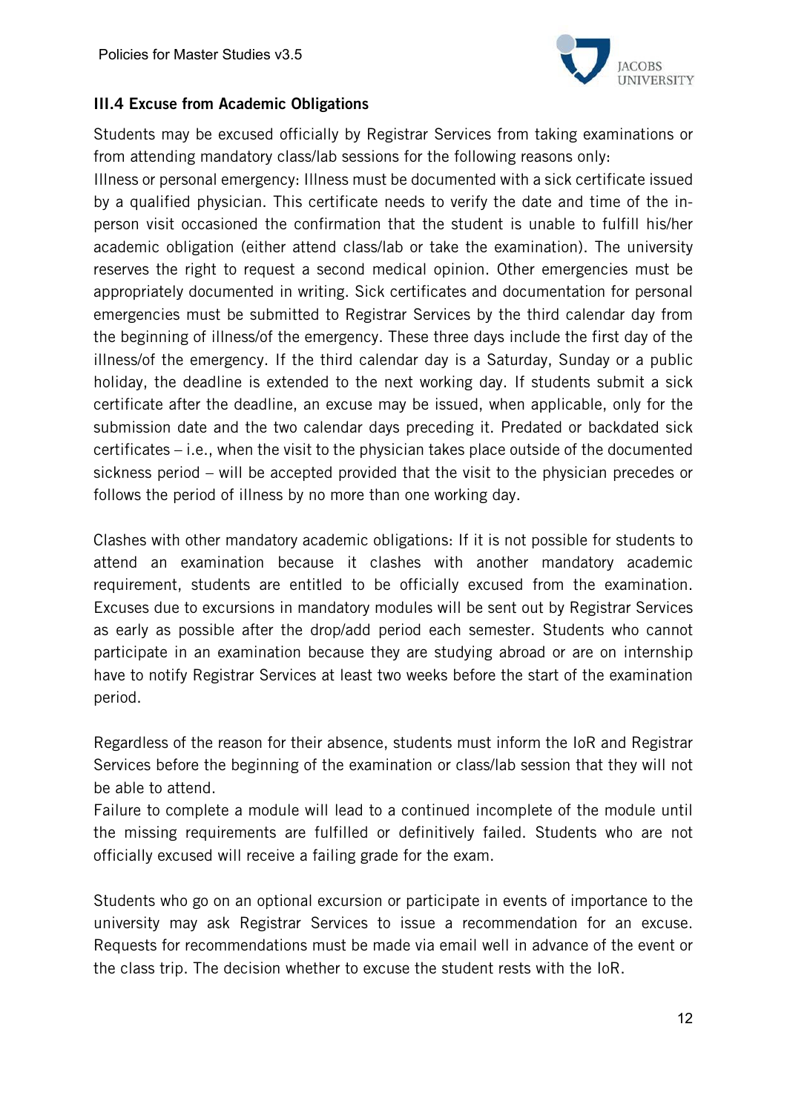

#### III.4 Excuse from Academic Obligations

Students may be excused officially by Registrar Services from taking examinations or from attending mandatory class/lab sessions for the following reasons only:

Illness or personal emergency: Illness must be documented with a sick certificate issued by a qualified physician. This certificate needs to verify the date and time of the inperson visit occasioned the confirmation that the student is unable to fulfill his/her academic obligation (either attend class/lab or take the examination). The university reserves the right to request a second medical opinion. Other emergencies must be appropriately documented in writing. Sick certificates and documentation for personal emergencies must be submitted to Registrar Services by the third calendar day from the beginning of illness/of the emergency. These three days include the first day of the illness/of the emergency. If the third calendar day is a Saturday, Sunday or a public holiday, the deadline is extended to the next working day. If students submit a sick certificate after the deadline, an excuse may be issued, when applicable, only for the submission date and the two calendar days preceding it. Predated or backdated sick certificates – i.e., when the visit to the physician takes place outside of the documented sickness period – will be accepted provided that the visit to the physician precedes or follows the period of illness by no more than one working day.

Clashes with other mandatory academic obligations: If it is not possible for students to attend an examination because it clashes with another mandatory academic requirement, students are entitled to be officially excused from the examination. Excuses due to excursions in mandatory modules will be sent out by Registrar Services as early as possible after the drop/add period each semester. Students who cannot participate in an examination because they are studying abroad or are on internship have to notify Registrar Services at least two weeks before the start of the examination period.

Regardless of the reason for their absence, students must inform the IoR and Registrar Services before the beginning of the examination or class/lab session that they will not be able to attend.

Failure to complete a module will lead to a continued incomplete of the module until the missing requirements are fulfilled or definitively failed. Students who are not officially excused will receive a failing grade for the exam.

Students who go on an optional excursion or participate in events of importance to the university may ask Registrar Services to issue a recommendation for an excuse. Requests for recommendations must be made via email well in advance of the event or the class trip. The decision whether to excuse the student rests with the IoR.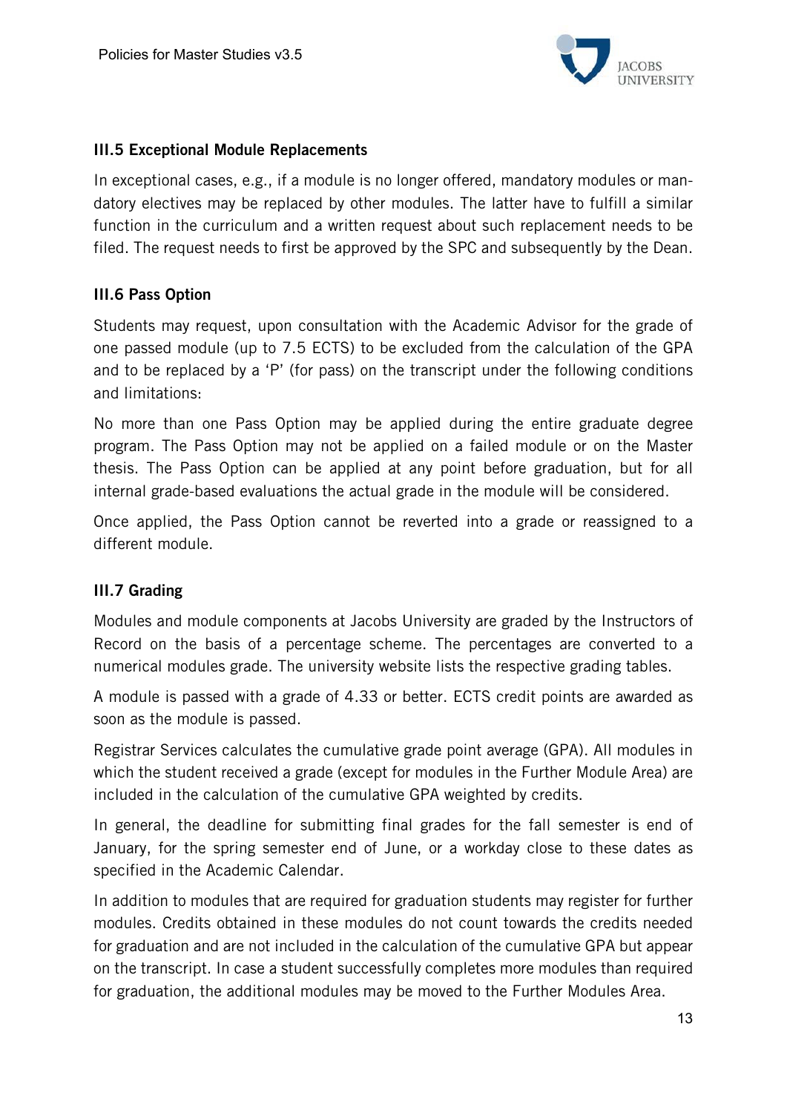

#### III.5 Exceptional Module Replacements

In exceptional cases, e.g., if a module is no longer offered, mandatory modules or mandatory electives may be replaced by other modules. The latter have to fulfill a similar function in the curriculum and a written request about such replacement needs to be filed. The request needs to first be approved by the SPC and subsequently by the Dean.

#### III.6 Pass Option

Students may request, upon consultation with the Academic Advisor for the grade of one passed module (up to 7.5 ECTS) to be excluded from the calculation of the GPA and to be replaced by a 'P' (for pass) on the transcript under the following conditions and limitations:

No more than one Pass Option may be applied during the entire graduate degree program. The Pass Option may not be applied on a failed module or on the Master thesis. The Pass Option can be applied at any point before graduation, but for all internal grade-based evaluations the actual grade in the module will be considered.

Once applied, the Pass Option cannot be reverted into a grade or reassigned to a different module.

#### III.7 Grading

Modules and module components at Jacobs University are graded by the Instructors of Record on the basis of a percentage scheme. The percentages are converted to a numerical modules grade. The university website lists the respective grading tables.

A module is passed with a grade of 4.33 or better. ECTS credit points are awarded as soon as the module is passed.

Registrar Services calculates the cumulative grade point average (GPA). All modules in which the student received a grade (except for modules in the Further Module Area) are included in the calculation of the cumulative GPA weighted by credits.

In general, the deadline for submitting final grades for the fall semester is end of January, for the spring semester end of June, or a workday close to these dates as specified in the Academic Calendar.

In addition to modules that are required for graduation students may register for further modules. Credits obtained in these modules do not count towards the credits needed for graduation and are not included in the calculation of the cumulative GPA but appear on the transcript. In case a student successfully completes more modules than required for graduation, the additional modules may be moved to the Further Modules Area.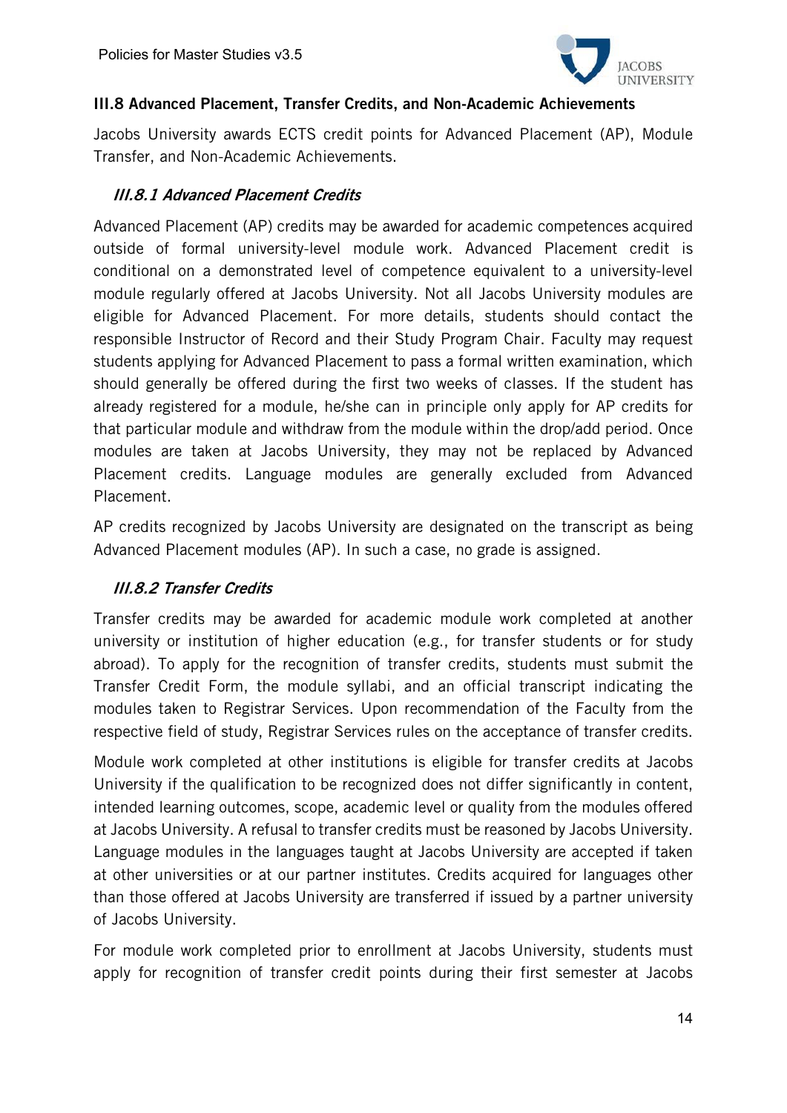

### III.8 Advanced Placement, Transfer Credits, and Non-Academic Achievements

Jacobs University awards ECTS credit points for Advanced Placement (AP), Module Transfer, and Non-Academic Achievements.

## III.8.1 Advanced Placement Credits

Advanced Placement (AP) credits may be awarded for academic competences acquired outside of formal university-level module work. Advanced Placement credit is conditional on a demonstrated level of competence equivalent to a university-level module regularly offered at Jacobs University. Not all Jacobs University modules are eligible for Advanced Placement. For more details, students should contact the responsible Instructor of Record and their Study Program Chair. Faculty may request students applying for Advanced Placement to pass a formal written examination, which should generally be offered during the first two weeks of classes. If the student has already registered for a module, he/she can in principle only apply for AP credits for that particular module and withdraw from the module within the drop/add period. Once modules are taken at Jacobs University, they may not be replaced by Advanced Placement credits. Language modules are generally excluded from Advanced Placement.

AP credits recognized by Jacobs University are designated on the transcript as being Advanced Placement modules (AP). In such a case, no grade is assigned.

## III.8.2 Transfer Credits

Transfer credits may be awarded for academic module work completed at another university or institution of higher education (e.g., for transfer students or for study abroad). To apply for the recognition of transfer credits, students must submit the Transfer Credit Form, the module syllabi, and an official transcript indicating the modules taken to Registrar Services. Upon recommendation of the Faculty from the respective field of study, Registrar Services rules on the acceptance of transfer credits.

Module work completed at other institutions is eligible for transfer credits at Jacobs University if the qualification to be recognized does not differ significantly in content, intended learning outcomes, scope, academic level or quality from the modules offered at Jacobs University. A refusal to transfer credits must be reasoned by Jacobs University. Language modules in the languages taught at Jacobs University are accepted if taken at other universities or at our partner institutes. Credits acquired for languages other than those offered at Jacobs University are transferred if issued by a partner university of Jacobs University.

For module work completed prior to enrollment at Jacobs University, students must apply for recognition of transfer credit points during their first semester at Jacobs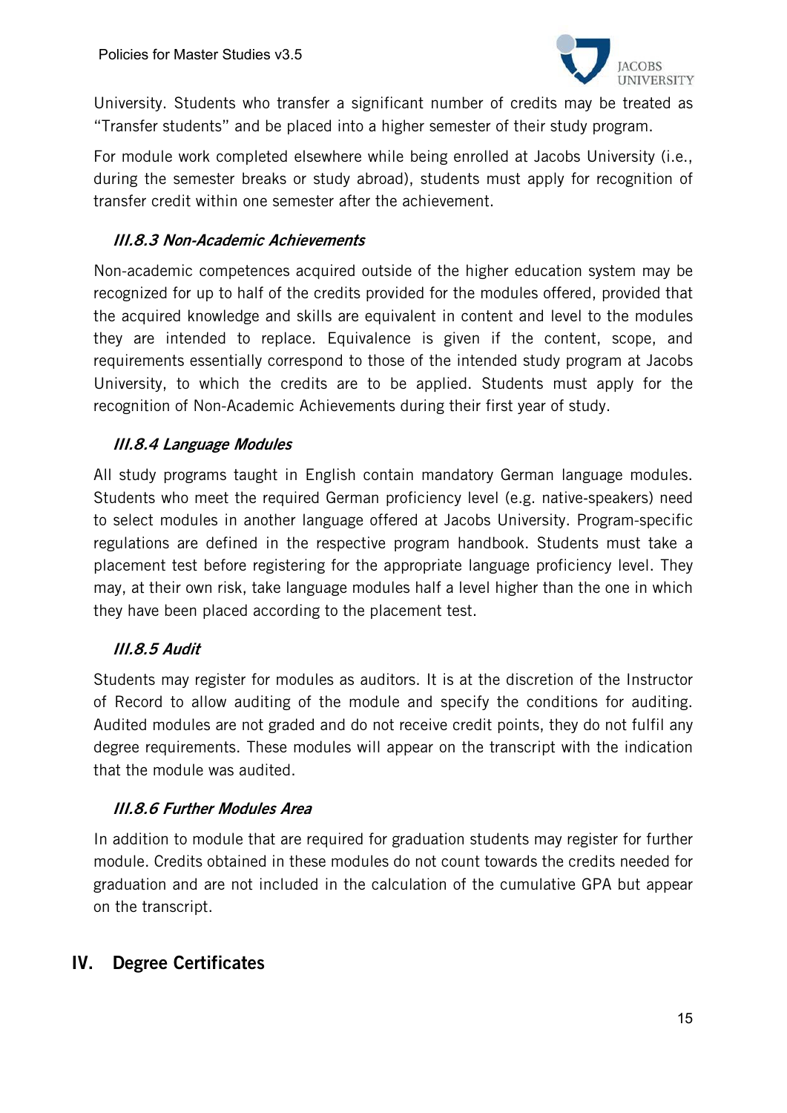

University. Students who transfer a significant number of credits may be treated as "Transfer students" and be placed into a higher semester of their study program.

For module work completed elsewhere while being enrolled at Jacobs University (i.e., during the semester breaks or study abroad), students must apply for recognition of transfer credit within one semester after the achievement.

#### III.8.3 Non-Academic Achievements

Non-academic competences acquired outside of the higher education system may be recognized for up to half of the credits provided for the modules offered, provided that the acquired knowledge and skills are equivalent in content and level to the modules they are intended to replace. Equivalence is given if the content, scope, and requirements essentially correspond to those of the intended study program at Jacobs University, to which the credits are to be applied. Students must apply for the recognition of Non-Academic Achievements during their first year of study.

#### III.8.4 Language Modules

All study programs taught in English contain mandatory German language modules. Students who meet the required German proficiency level (e.g. native-speakers) need to select modules in another language offered at Jacobs University. Program-specific regulations are defined in the respective program handbook. Students must take a placement test before registering for the appropriate language proficiency level. They may, at their own risk, take language modules half a level higher than the one in which they have been placed according to the placement test.

## III.8.5 Audit

Students may register for modules as auditors. It is at the discretion of the Instructor of Record to allow auditing of the module and specify the conditions for auditing. Audited modules are not graded and do not receive credit points, they do not fulfil any degree requirements. These modules will appear on the transcript with the indication that the module was audited.

#### III.8.6 Further Modules Area

In addition to module that are required for graduation students may register for further module. Credits obtained in these modules do not count towards the credits needed for graduation and are not included in the calculation of the cumulative GPA but appear on the transcript.

# IV. Degree Certificates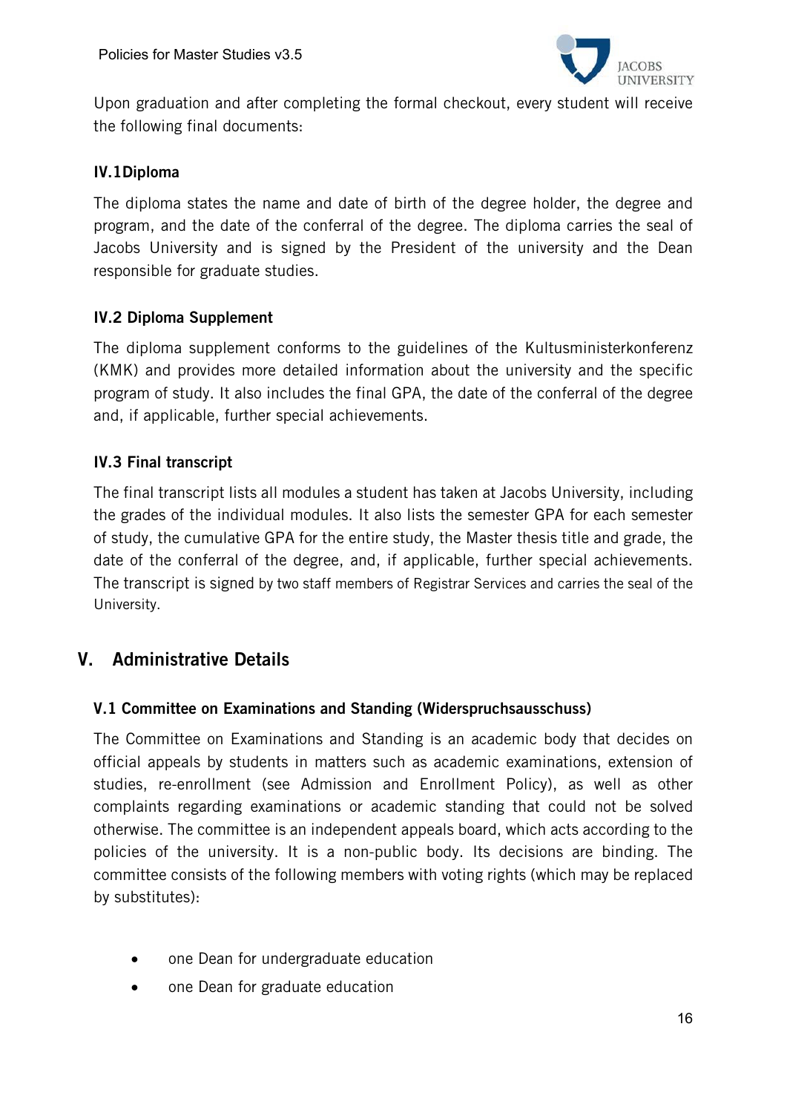

Upon graduation and after completing the formal checkout, every student will receive the following final documents:

#### IV.1Diploma

The diploma states the name and date of birth of the degree holder, the degree and program, and the date of the conferral of the degree. The diploma carries the seal of Jacobs University and is signed by the President of the university and the Dean responsible for graduate studies.

#### IV.2 Diploma Supplement

The diploma supplement conforms to the guidelines of the Kultusministerkonferenz (KMK) and provides more detailed information about the university and the specific program of study. It also includes the final GPA, the date of the conferral of the degree and, if applicable, further special achievements.

#### IV.3 Final transcript

The final transcript lists all modules a student has taken at Jacobs University, including the grades of the individual modules. It also lists the semester GPA for each semester of study, the cumulative GPA for the entire study, the Master thesis title and grade, the date of the conferral of the degree, and, if applicable, further special achievements. The transcript is signed by two staff members of Registrar Services and carries the seal of the University.

# V. Administrative Details

#### V.1 Committee on Examinations and Standing (Widerspruchsausschuss)

The Committee on Examinations and Standing is an academic body that decides on official appeals by students in matters such as academic examinations, extension of studies, re-enrollment (see Admission and Enrollment Policy), as well as other complaints regarding examinations or academic standing that could not be solved otherwise. The committee is an independent appeals board, which acts according to the policies of the university. It is a non-public body. Its decisions are binding. The committee consists of the following members with voting rights (which may be replaced by substitutes):

- one Dean for undergraduate education
- one Dean for graduate education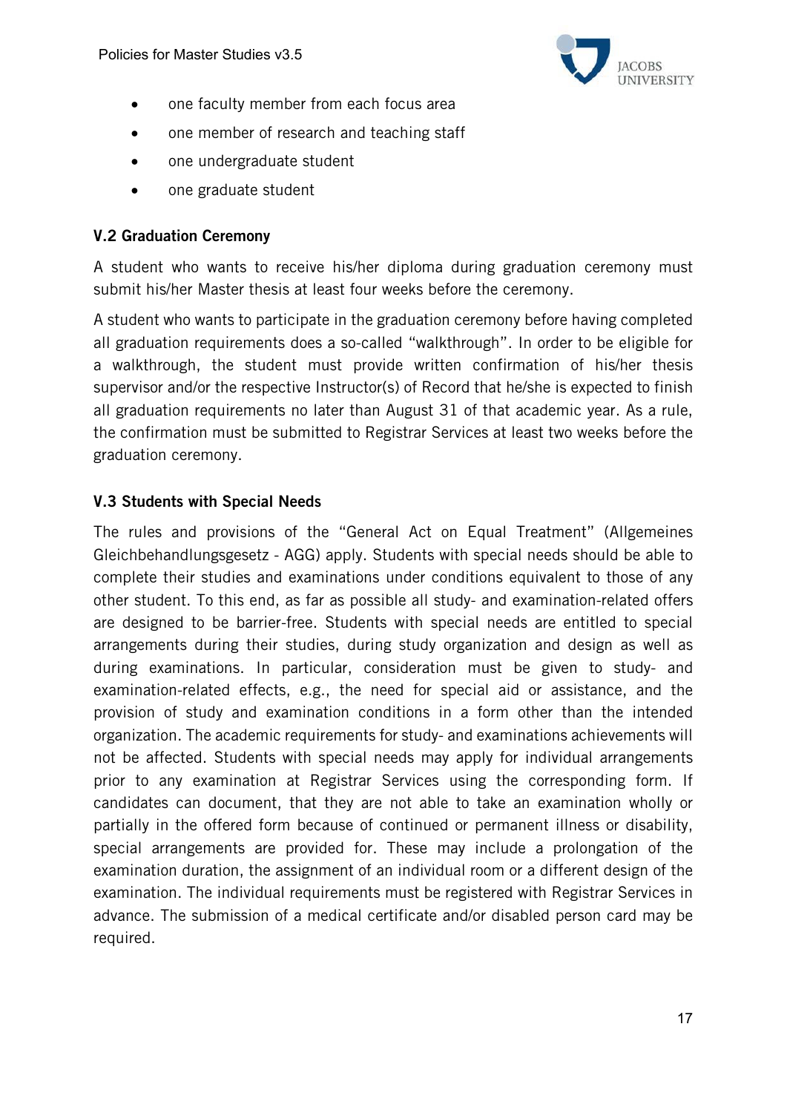

- one faculty member from each focus area
- one member of research and teaching staff
- one undergraduate student
- one graduate student

#### V.2 Graduation Ceremony

A student who wants to receive his/her diploma during graduation ceremony must submit his/her Master thesis at least four weeks before the ceremony.

A student who wants to participate in the graduation ceremony before having completed all graduation requirements does a so-called "walkthrough". In order to be eligible for a walkthrough, the student must provide written confirmation of his/her thesis supervisor and/or the respective Instructor(s) of Record that he/she is expected to finish all graduation requirements no later than August 31 of that academic year. As a rule, the confirmation must be submitted to Registrar Services at least two weeks before the graduation ceremony.

#### V.3 Students with Special Needs

The rules and provisions of the "General Act on Equal Treatment" (Allgemeines Gleichbehandlungsgesetz - AGG) apply. Students with special needs should be able to complete their studies and examinations under conditions equivalent to those of any other student. To this end, as far as possible all study- and examination-related offers are designed to be barrier-free. Students with special needs are entitled to special arrangements during their studies, during study organization and design as well as during examinations. In particular, consideration must be given to study- and examination-related effects, e.g., the need for special aid or assistance, and the provision of study and examination conditions in a form other than the intended organization. The academic requirements for study- and examinations achievements will not be affected. Students with special needs may apply for individual arrangements prior to any examination at Registrar Services using the corresponding form. If candidates can document, that they are not able to take an examination wholly or partially in the offered form because of continued or permanent illness or disability, special arrangements are provided for. These may include a prolongation of the examination duration, the assignment of an individual room or a different design of the examination. The individual requirements must be registered with Registrar Services in advance. The submission of a medical certificate and/or disabled person card may be required.